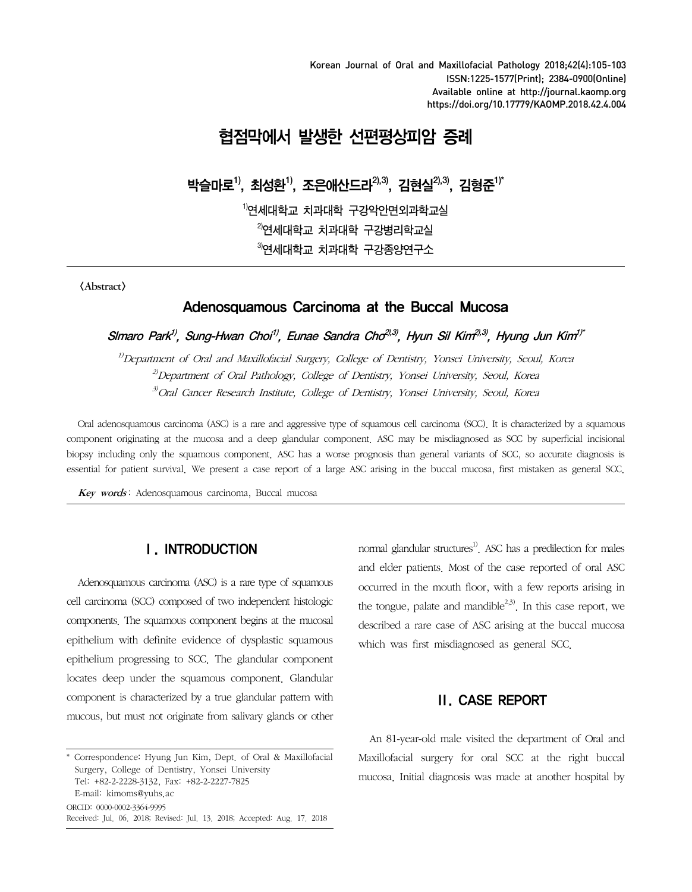Korean Journal of Oral and Maxillofacial Pathology 2018;42(4):105-103 ISSN:1225-1577(Print); 2384-0900(Online) Available online at http://journal.kaomp.org https://doi.org/10.17779/KAOMP.2018.42.4.004

# 협점막에서 발생한 선편평상피암 증례

박슬마로<sup>1)</sup>, 최성환<sup>1)</sup>, 조은애산드라<sup>2),3)</sup>, 김현실<sup>2),3)</sup>, 김형준<sup>1)\*</sup>

 $^{1)}$ 연세대학교 치과대학 구강악안면외과학교실  $^{2}$ 연세대학교 치과대학 구강병리학교실  $3$ 연세대학교 치과대학 구강종양연구소

<Abstract>

# Adenosquamous Carcinoma at the Buccal Mucosa

Simaro Park<sup>1)</sup>, Sung-Hwan Choi<sup>1)</sup>, Eunae Sandra Cho<sup>2),3)</sup>, Hyun Sil Kim<sup>2),3)</sup>, Hyung Jun Kim<sup>1)\*</sup>

 $1/D$ epartment of Oral and Maxillofacial Surgery, College of Dentistry, Yonsei University, Seoul, Korea <sup>2)</sup>Department of Oral Pathology, College of Dentistry, Yonsei University, Seoul, Korea 3)Oral Cancer Research Institute, College of Dentistry, Yonsei University, Seoul, Korea

Oral adenosquamous carcinoma (ASC) is a rare and aggressive type of squamous cell carcinoma (SCC). It is characterized by a squamous component originating at the mucosa and a deep glandular component. ASC may be misdiagnosed as SCC by superficial incisional biopsy including only the squamous component. ASC has a worse prognosis than general variants of SCC, so accurate diagnosis is essential for patient survival. We present a case report of a large ASC arising in the buccal mucosa, first mistaken as general SCC.

Key words: Adenosquamous carcinoma, Buccal mucosa

#### Ⅰ. INTRODUCTION

Adenosquamous carcinoma (ASC) is a rare type of squamous cell carcinoma (SCC) composed of two independent histologic components. The squamous component begins at the mucosal epithelium with definite evidence of dysplastic squamous epithelium progressing to SCC. The glandular component locates deep under the squamous component. Glandular component is characterized by a true glandular pattern with mucous, but must not originate from salivary glands or other normal glandular structures<sup>1)</sup>. ASC has a predilection for males and elder patients. Most of the case reported of oral ASC occurred in the mouth floor, with a few reports arising in the tongue, palate and mandible $2,3$ . In this case report, we described a rare case of ASC arising at the buccal mucosa which was first misdiagnosed as general SCC.

# Ⅱ. CASE REPORT

An 81-year-old male visited the department of Oral and Maxillofacial surgery for oral SCC at the right buccal mucosa. Initial diagnosis was made at another hospital by

<sup>\*</sup> Correspondence: Hyung Jun Kim, Dept. of Oral & Maxillofacial Surgery, College of Dentistry, Yonsei University Tel: +82-2-2228-3132, Fax: +82-2-2227-7825 E-mail: kimoms@yuhs.ac ORCID: 0000-0002-3364-9995 Received: Jul. 06. 2018; Revised: Jul. 13. 2018; Accepted: Aug. 17. 2018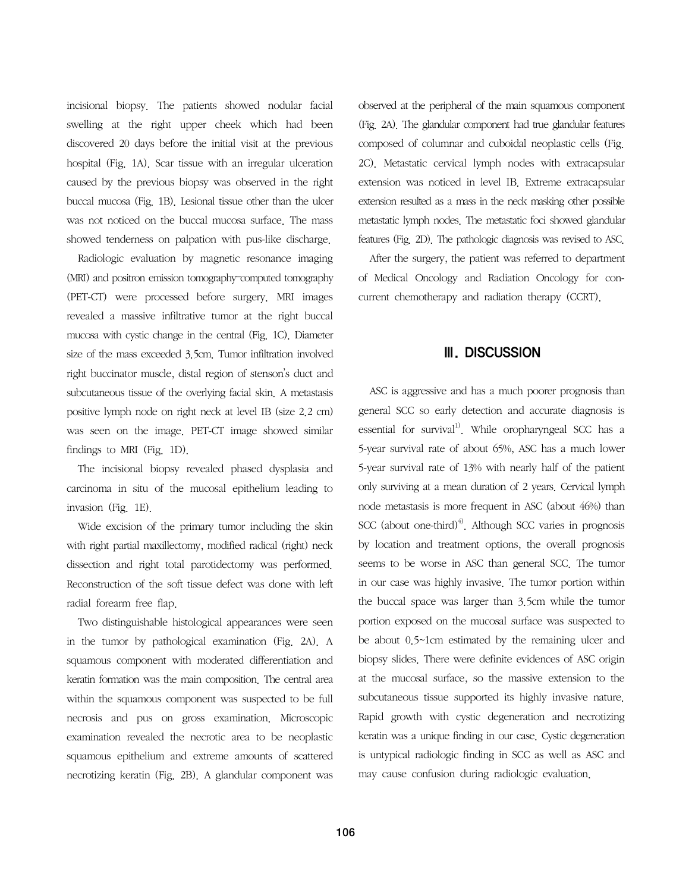incisional biopsy. The patients showed nodular facial swelling at the right upper cheek which had been discovered 20 days before the initial visit at the previous hospital (Fig. 1A). Scar tissue with an irregular ulceration caused by the previous biopsy was observed in the right buccal mucosa (Fig. 1B). Lesional tissue other than the ulcer was not noticed on the buccal mucosa surface. The mass showed tenderness on palpation with pus-like discharge.

Radiologic evaluation by magnetic resonance imaging (MRI) and positron emission tomography–computed tomography (PET-CT) were processed before surgery. MRI images revealed a massive infiltrative tumor at the right buccal mucosa with cystic change in the central (Fig. 1C). Diameter size of the mass exceeded 3.5cm. Tumor infiltration involved right buccinator muscle, distal region of stenson's duct and subcutaneous tissue of the overlying facial skin. A metastasis positive lymph node on right neck at level IB (size 2.2 cm) was seen on the image. PET-CT image showed similar findings to MRI (Fig. 1D).

The incisional biopsy revealed phased dysplasia and carcinoma in situ of the mucosal epithelium leading to invasion (Fig. 1E).

Wide excision of the primary tumor including the skin with right partial maxillectomy, modified radical (right) neck dissection and right total parotidectomy was performed. Reconstruction of the soft tissue defect was done with left radial forearm free flap.

Two distinguishable histological appearances were seen in the tumor by pathological examination (Fig. 2A). A squamous component with moderated differentiation and keratin formation was the main composition. The central area within the squamous component was suspected to be full necrosis and pus on gross examination. Microscopic examination revealed the necrotic area to be neoplastic squamous epithelium and extreme amounts of scattered necrotizing keratin (Fig. 2B). A glandular component was observed at the peripheral of the main squamous component (Fig. 2A). The glandular component had true glandular features composed of columnar and cuboidal neoplastic cells (Fig. 2C). Metastatic cervical lymph nodes with extracapsular extension was noticed in level IB. Extreme extracapsular extension resulted as a mass in the neck masking other possible metastatic lymph nodes. The metastatic foci showed glandular features (Fig. 2D). The pathologic diagnosis was revised to ASC.

After the surgery, the patient was referred to department of Medical Oncology and Radiation Oncology for concurrent chemotherapy and radiation therapy (CCRT).

### Ⅲ. DISCUSSION

ASC is aggressive and has a much poorer prognosis than general SCC so early detection and accurate diagnosis is essential for survival<sup>1)</sup>. While oropharyngeal SCC has a 5-year survival rate of about 65%, ASC has a much lower 5-year survival rate of 13% with nearly half of the patient only surviving at a mean duration of 2 years. Cervical lymph node metastasis is more frequent in ASC (about 46%) than SCC (about one-third)<sup>4)</sup>. Although SCC varies in prognosis by location and treatment options, the overall prognosis seems to be worse in ASC than general SCC. The tumor in our case was highly invasive. The tumor portion within the buccal space was larger than 3.5cm while the tumor portion exposed on the mucosal surface was suspected to be about 0.5~1cm estimated by the remaining ulcer and biopsy slides. There were definite evidences of ASC origin at the mucosal surface, so the massive extension to the subcutaneous tissue supported its highly invasive nature. Rapid growth with cystic degeneration and necrotizing keratin was a unique finding in our case. Cystic degeneration is untypical radiologic finding in SCC as well as ASC and may cause confusion during radiologic evaluation.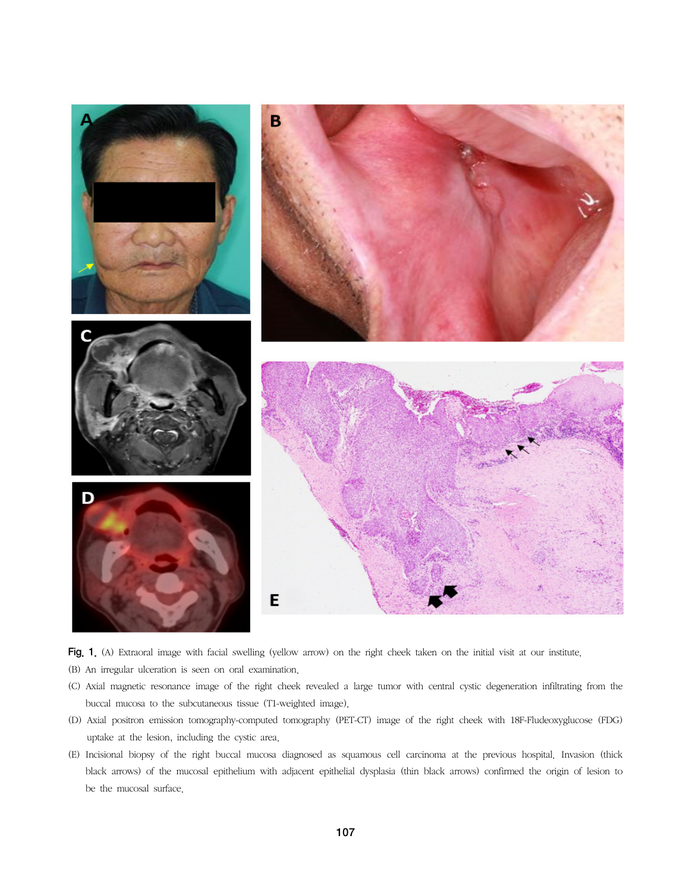

Fig. 1. (A) Extraoral image with facial swelling (yellow arrow) on the right cheek taken on the initial visit at our institute.

- (B) An irregular ulceration is seen on oral examination.
- (C) Axial magnetic resonance image of the right cheek revealed a large tumor with central cystic degeneration infiltrating from the buccal mucosa to the subcutaneous tissue (T1-weighted image).
- (D) Axial positron emission tomography-computed tomography (PET-CT) image of the right cheek with 18F-Fludeoxyglucose (FDG) uptake at the lesion, including the cystic area.
- (E) Incisional biopsy of the right buccal mucosa diagnosed as squamous cell carcinoma at the previous hospital. Invasion (thick black arrows) of the mucosal epithelium with adjacent epithelial dysplasia (thin black arrows) confirmed the origin of lesion to be the mucosal surface.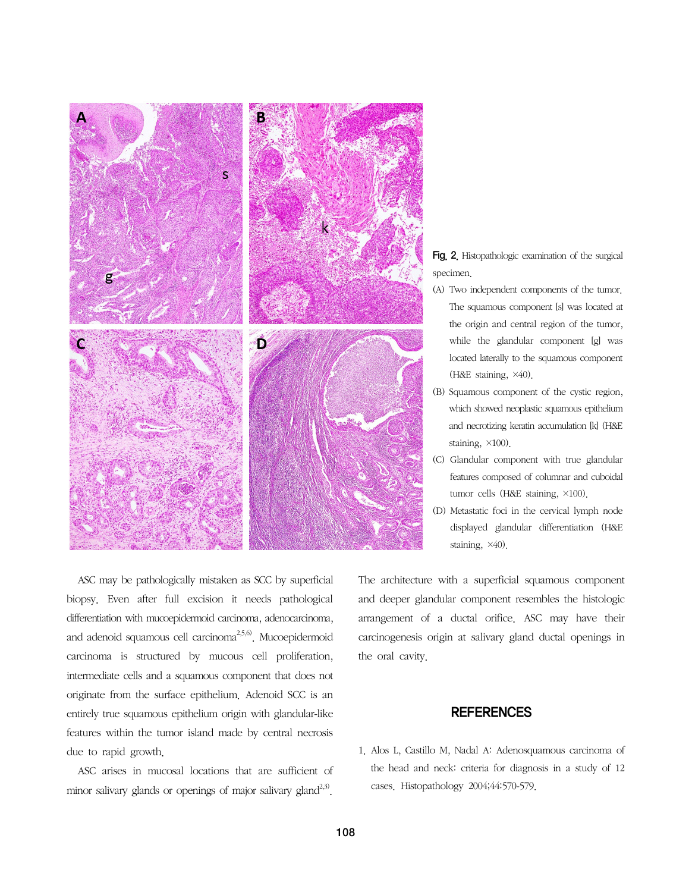

Fig. 2. Histopathologic examination of the surgical specimen.

- (A) Two independent components of the tumor. The squamous component [s] was located at the origin and central region of the tumor, while the glandular component [g] was located laterally to the squamous component (H&E staining, ×40).
- (B) Squamous component of the cystic region, which showed neoplastic squamous epithelium and necrotizing keratin accumulation [k] (H&E staining, ×100).
- (C) Glandular component with true glandular features composed of columnar and cuboidal tumor cells (H&E staining, ×100).
- (D) Metastatic foci in the cervical lymph node displayed glandular differentiation (H&E staining, ×40).

ASC may be pathologically mistaken as SCC by superficial biopsy. Even after full excision it needs pathological differentiation with mucoepidermoid carcinoma, adenocarcinoma, and adenoid squamous cell carcinoma<sup>2,5,6)</sup>. Mucoepidermoid carcinoma is structured by mucous cell proliferation, intermediate cells and a squamous component that does not originate from the surface epithelium. Adenoid SCC is an entirely true squamous epithelium origin with glandular-like features within the tumor island made by central necrosis due to rapid growth.

ASC arises in mucosal locations that are sufficient of minor salivary glands or openings of major salivary gland<sup>2,3)</sup>.

The architecture with a superficial squamous component and deeper glandular component resembles the histologic arrangement of a ductal orifice. ASC may have their carcinogenesis origin at salivary gland ductal openings in the oral cavity.

### **REFERENCES**

1. Alos L, Castillo M, Nadal A: Adenosquamous carcinoma of the head and neck: criteria for diagnosis in a study of 12 cases. Histopathology 2004;44:570-579.